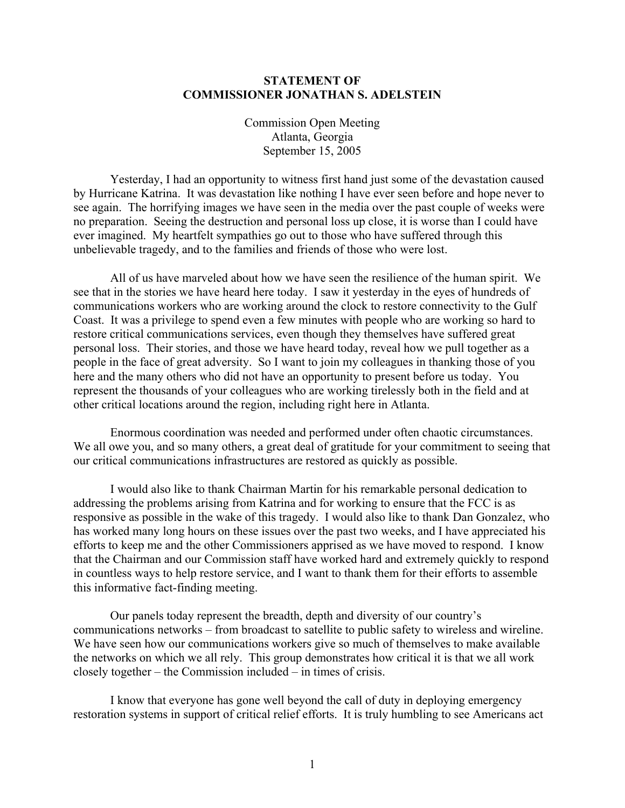## **STATEMENT OF COMMISSIONER JONATHAN S. ADELSTEIN**

Commission Open Meeting Atlanta, Georgia September 15, 2005

Yesterday, I had an opportunity to witness first hand just some of the devastation caused by Hurricane Katrina. It was devastation like nothing I have ever seen before and hope never to see again. The horrifying images we have seen in the media over the past couple of weeks were no preparation. Seeing the destruction and personal loss up close, it is worse than I could have ever imagined. My heartfelt sympathies go out to those who have suffered through this unbelievable tragedy, and to the families and friends of those who were lost.

All of us have marveled about how we have seen the resilience of the human spirit. We see that in the stories we have heard here today. I saw it yesterday in the eyes of hundreds of communications workers who are working around the clock to restore connectivity to the Gulf Coast. It was a privilege to spend even a few minutes with people who are working so hard to restore critical communications services, even though they themselves have suffered great personal loss. Their stories, and those we have heard today, reveal how we pull together as a people in the face of great adversity. So I want to join my colleagues in thanking those of you here and the many others who did not have an opportunity to present before us today. You represent the thousands of your colleagues who are working tirelessly both in the field and at other critical locations around the region, including right here in Atlanta.

Enormous coordination was needed and performed under often chaotic circumstances. We all owe you, and so many others, a great deal of gratitude for your commitment to seeing that our critical communications infrastructures are restored as quickly as possible.

I would also like to thank Chairman Martin for his remarkable personal dedication to addressing the problems arising from Katrina and for working to ensure that the FCC is as responsive as possible in the wake of this tragedy. I would also like to thank Dan Gonzalez, who has worked many long hours on these issues over the past two weeks, and I have appreciated his efforts to keep me and the other Commissioners apprised as we have moved to respond. I know that the Chairman and our Commission staff have worked hard and extremely quickly to respond in countless ways to help restore service, and I want to thank them for their efforts to assemble this informative fact-finding meeting.

Our panels today represent the breadth, depth and diversity of our country's communications networks – from broadcast to satellite to public safety to wireless and wireline. We have seen how our communications workers give so much of themselves to make available the networks on which we all rely. This group demonstrates how critical it is that we all work closely together – the Commission included – in times of crisis.

I know that everyone has gone well beyond the call of duty in deploying emergency restoration systems in support of critical relief efforts. It is truly humbling to see Americans act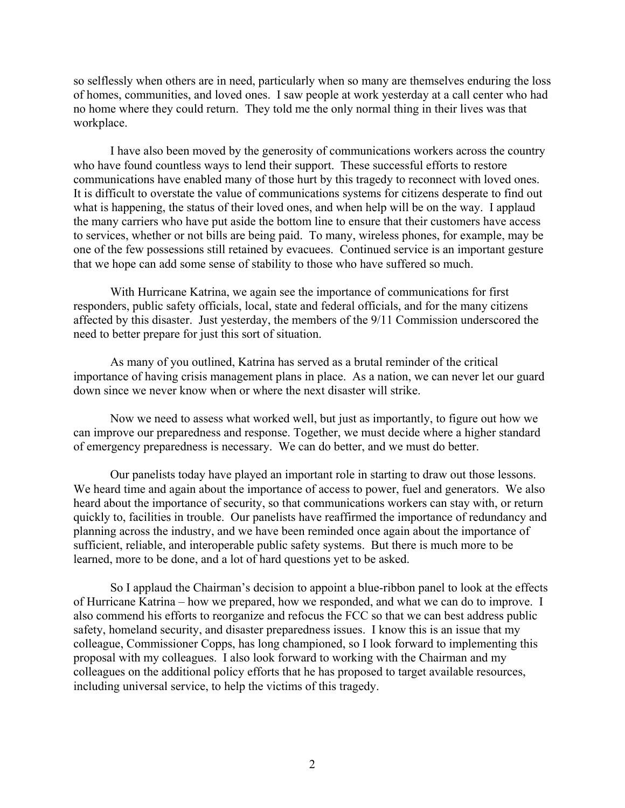so selflessly when others are in need, particularly when so many are themselves enduring the loss of homes, communities, and loved ones. I saw people at work yesterday at a call center who had no home where they could return. They told me the only normal thing in their lives was that workplace.

I have also been moved by the generosity of communications workers across the country who have found countless ways to lend their support. These successful efforts to restore communications have enabled many of those hurt by this tragedy to reconnect with loved ones. It is difficult to overstate the value of communications systems for citizens desperate to find out what is happening, the status of their loved ones, and when help will be on the way. I applaud the many carriers who have put aside the bottom line to ensure that their customers have access to services, whether or not bills are being paid. To many, wireless phones, for example, may be one of the few possessions still retained by evacuees. Continued service is an important gesture that we hope can add some sense of stability to those who have suffered so much.

With Hurricane Katrina, we again see the importance of communications for first responders, public safety officials, local, state and federal officials, and for the many citizens affected by this disaster. Just yesterday, the members of the 9/11 Commission underscored the need to better prepare for just this sort of situation.

As many of you outlined, Katrina has served as a brutal reminder of the critical importance of having crisis management plans in place. As a nation, we can never let our guard down since we never know when or where the next disaster will strike.

Now we need to assess what worked well, but just as importantly, to figure out how we can improve our preparedness and response. Together, we must decide where a higher standard of emergency preparedness is necessary. We can do better, and we must do better.

Our panelists today have played an important role in starting to draw out those lessons. We heard time and again about the importance of access to power, fuel and generators. We also heard about the importance of security, so that communications workers can stay with, or return quickly to, facilities in trouble. Our panelists have reaffirmed the importance of redundancy and planning across the industry, and we have been reminded once again about the importance of sufficient, reliable, and interoperable public safety systems. But there is much more to be learned, more to be done, and a lot of hard questions yet to be asked.

So I applaud the Chairman's decision to appoint a blue-ribbon panel to look at the effects of Hurricane Katrina – how we prepared, how we responded, and what we can do to improve. I also commend his efforts to reorganize and refocus the FCC so that we can best address public safety, homeland security, and disaster preparedness issues. I know this is an issue that my colleague, Commissioner Copps, has long championed, so I look forward to implementing this proposal with my colleagues. I also look forward to working with the Chairman and my colleagues on the additional policy efforts that he has proposed to target available resources, including universal service, to help the victims of this tragedy.